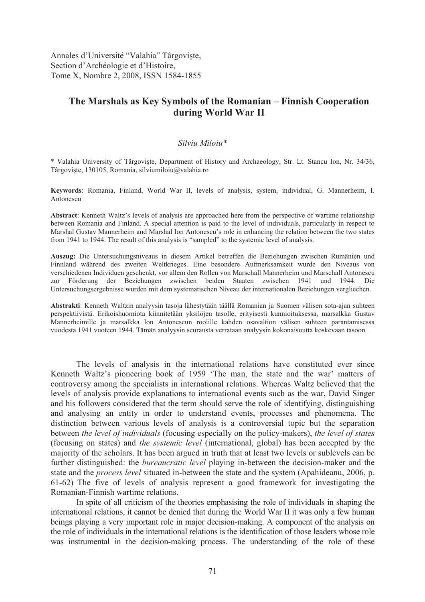Annales d'Université "Valahia" Târgoviște, Section d'Archéologie et d'Histoire, Tome X, Nombre 2, 2008, ISSN 1584-1855

## **The Marshals as Key Symbols of the Romanian – Finnish Cooperation during World War II**

## *Silviu Miloiu\**

\* Valahia University of Târgoviste, Department of History and Archaeology, Str. Lt. Stancu Ion, Nr. 34/36, Târgoviște, 130105, Romania, silviumiloiu $@$ valahia.ro

**Keywords**: Romania, Finland, World War II, levels of analysis, system, individual, G. Mannerheim, I. Antonescu

**Abstract**: Kenneth Waltz's levels of analysis are approached here from the perspective of wartime relationship between Romania and Finland. A special attention is paid to the level of individuals, particularly in respect to Marshal Gustav Mannerheim and Marshal Ion Antonescu's role in enhancing the relation between the two states from 1941 to 1944. The result of this analysis is "sampled" to the systemic level of analysis.

**Auszug:** Die Untersuchungsniveaus in diesem Artikel betreffen die Beziehungen zwischen Rumänien und Finnland während des zweiten Weltkrieges. Eine besondere Aufmerksamkeit wurde den Niveaus von verschiedenen Individuen geschenkt, vor allem den Rollen von Marschall Mannerheim und Marschall Antonescu zur Förderung der Beziehungen zwischen beiden Staaten zwischen 1941 und 1944. Die Untersuchungsergebnisse wurden mit dem systematischen Niveau der internationalen Beziehungen vergliechen.

**Abstrakti**: Kenneth Waltzin analyysin tasoja lähestytään täällä Romanian ja Suomen välisen sota-ajan suhteen perspektiivistä. Erikoishuomiota kiinnitetään yksilöjen tasolle, erityisesti kunnioituksessa, marsalkka Gustav Mannerheimille ja marsalkka Ion Antonescun roolille kahden osavaltion välisen suhteen parantamisessa vuodesta 1941 vuoteen 1944. Tämän analyysin seurausta verrataan analyysin kokonaisuutta koskevaan tasoon.

The levels of analysis in the international relations have constituted ever since Kenneth Waltz's pioneering book of 1959 'The man, the state and the war' matters of controversy among the specialists in international relations. Whereas Waltz believed that the levels of analysis provide explanations to international events such as the war, David Singer and his followers considered that the term should serve the role of identifying, distinguishing and analysing an entity in order to understand events, processes and phenomena. The distinction between various levels of analysis is a controversial topic but the separation between *the level of individuals* (focusing especially on the policy-makers), *the level of states* (focusing on states) and *the systemic level* (international, global) has been accepted by the majority of the scholars. It has been argued in truth that at least two levels or sublevels can be further distinguished: the *bureaucratic level* playing in-between the decision-maker and the state and the *process level* situated in-between the state and the system (Apahideanu, 2006, p. 61-62) The five of levels of analysis represent a good framework for investigating the Romanian-Finnish wartime relations.

In spite of all criticism of the theories emphasising the role of individuals in shaping the international relations, it cannot be denied that during the World War II it was only a few human beings playing a very important role in major decision-making. A component of the analysis on the role of individuals in the international relations is the identification of those leaders whose role was instrumental in the decision-making process. The understanding of the role of these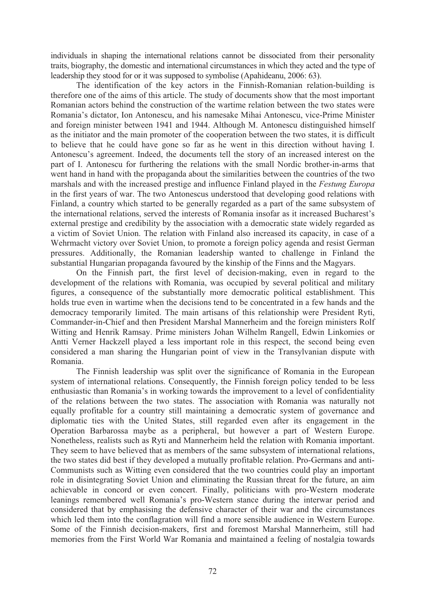individuals in shaping the international relations cannot be dissociated from their personality traits, biography, the domestic and international circumstances in which they acted and the type of leadership they stood for or it was supposed to symbolise (Apahideanu, 2006: 63).

The identification of the key actors in the Finnish-Romanian relation-building is therefore one of the aims of this article. The study of documents show that the most important Romanian actors behind the construction of the wartime relation between the two states were Romania's dictator, Ion Antonescu, and his namesake Mihai Antonescu, vice-Prime Minister and foreign minister between 1941 and 1944. Although M. Antonescu distinguished himself as the initiator and the main promoter of the cooperation between the two states, it is difficult to believe that he could have gone so far as he went in this direction without having I. Antonescu's agreement. Indeed, the documents tell the story of an increased interest on the part of I. Antonescu for furthering the relations with the small Nordic brother-in-arms that went hand in hand with the propaganda about the similarities between the countries of the two marshals and with the increased prestige and influence Finland played in the *Festung Europa* in the first years of war. The two Antonescus understood that developing good relations with Finland, a country which started to be generally regarded as a part of the same subsystem of the international relations, served the interests of Romania insofar as it increased Bucharest's external prestige and credibility by the association with a democratic state widely regarded as a victim of Soviet Union. The relation with Finland also increased its capacity, in case of a Wehrmacht victory over Soviet Union, to promote a foreign policy agenda and resist German pressures. Additionally, the Romanian leadership wanted to challenge in Finland the substantial Hungarian propaganda favoured by the kinship of the Finns and the Magyars.

On the Finnish part, the first level of decision-making, even in regard to the development of the relations with Romania, was occupied by several political and military figures, a consequence of the substantially more democratic political establishment. This holds true even in wartime when the decisions tend to be concentrated in a few hands and the democracy temporarily limited. The main artisans of this relationship were President Ryti, Commander-in-Chief and then President Marshal Mannerheim and the foreign ministers Rolf Witting and Henrik Ramsay. Prime ministers Johan Wilhelm Rangell, Edwin Linkomies or Antti Verner Hackzell played a less important role in this respect, the second being even considered a man sharing the Hungarian point of view in the Transylvanian dispute with Romania.

The Finnish leadership was split over the significance of Romania in the European system of international relations. Consequently, the Finnish foreign policy tended to be less enthusiastic than Romania's in working towards the improvement to a level of confidentiality of the relations between the two states. The association with Romania was naturally not equally profitable for a country still maintaining a democratic system of governance and diplomatic ties with the United States, still regarded even after its engagement in the Operation Barbarossa maybe as a peripheral, but however a part of Western Europe. Nonetheless, realists such as Ryti and Mannerheim held the relation with Romania important. They seem to have believed that as members of the same subsystem of international relations, the two states did best if they developed a mutually profitable relation. Pro-Germans and anti-Communists such as Witting even considered that the two countries could play an important role in disintegrating Soviet Union and eliminating the Russian threat for the future, an aim achievable in concord or even concert. Finally, politicians with pro-Western moderate leanings remembered well Romania's pro-Western stance during the interwar period and considered that by emphasising the defensive character of their war and the circumstances which led them into the conflagration will find a more sensible audience in Western Europe. Some of the Finnish decision-makers, first and foremost Marshal Mannerheim, still had memories from the First World War Romania and maintained a feeling of nostalgia towards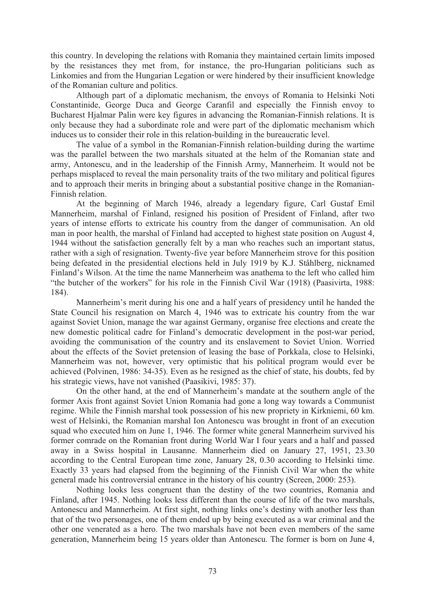this country. In developing the relations with Romania they maintained certain limits imposed by the resistances they met from, for instance, the pro-Hungarian politicians such as Linkomies and from the Hungarian Legation or were hindered by their insufficient knowledge of the Romanian culture and politics.

Although part of a diplomatic mechanism, the envoys of Romania to Helsinki Noti Constantinide, George Duca and George Caranfil and especially the Finnish envoy to Bucharest Hjalmar Palin were key figures in advancing the Romanian-Finnish relations. It is only because they had a subordinate role and were part of the diplomatic mechanism which induces us to consider their role in this relation-building in the bureaucratic level.

The value of a symbol in the Romanian-Finnish relation-building during the wartime was the parallel between the two marshals situated at the helm of the Romanian state and army, Antonescu, and in the leadership of the Finnish Army, Mannerheim. It would not be perhaps misplaced to reveal the main personality traits of the two military and political figures and to approach their merits in bringing about a substantial positive change in the Romanian-Finnish relation.

At the beginning of March 1946, already a legendary figure, Carl Gustaf Emil Mannerheim, marshal of Finland, resigned his position of President of Finland, after two years of intense efforts to extricate his country from the danger of communisation. An old man in poor health, the marshal of Finland had accepted to highest state position on August 4, 1944 without the satisfaction generally felt by a man who reaches such an important status, rather with a sigh of resignation. Twenty-five year before Mannerheim strove for this position being defeated in the presidential elections held in July 1919 by K.J. Ståhlberg, nicknamed Finland's Wilson. At the time the name Mannerheim was anathema to the left who called him "the butcher of the workers" for his role in the Finnish Civil War (1918) (Paasivirta, 1988: 184).

Mannerheim's merit during his one and a half years of presidency until he handed the State Council his resignation on March 4, 1946 was to extricate his country from the war against Soviet Union, manage the war against Germany, organise free elections and create the new domestic political cadre for Finland's democratic development in the post-war period, avoiding the communisation of the country and its enslavement to Soviet Union. Worried about the effects of the Soviet pretension of leasing the base of Porkkala, close to Helsinki, Mannerheim was not, however, very optimistic that his political program would ever be achieved (Polvinen, 1986: 34-35). Even as he resigned as the chief of state, his doubts, fed by his strategic views, have not vanished (Paasikivi, 1985: 37).

On the other hand, at the end of Mannerheim's mandate at the southern angle of the former Axis front against Soviet Union Romania had gone a long way towards a Communist regime. While the Finnish marshal took possession of his new propriety in Kirkniemi, 60 km. west of Helsinki, the Romanian marshal Ion Antonescu was brought in front of an execution squad who executed him on June 1, 1946. The former white general Mannerheim survived his former comrade on the Romanian front during World War I four years and a half and passed away in a Swiss hospital in Lausanne. Mannerheim died on January 27, 1951, 23.30 according to the Central European time zone, January 28, 0.30 according to Helsinki time. Exactly 33 years had elapsed from the beginning of the Finnish Civil War when the white general made his controversial entrance in the history of his country (Screen, 2000: 253).

Nothing looks less congruent than the destiny of the two countries, Romania and Finland, after 1945. Nothing looks less different than the course of life of the two marshals, Antonescu and Mannerheim. At first sight, nothing links one's destiny with another less than that of the two personages, one of them ended up by being executed as a war criminal and the other one venerated as a hero. The two marshals have not been even members of the same generation, Mannerheim being 15 years older than Antonescu. The former is born on June 4,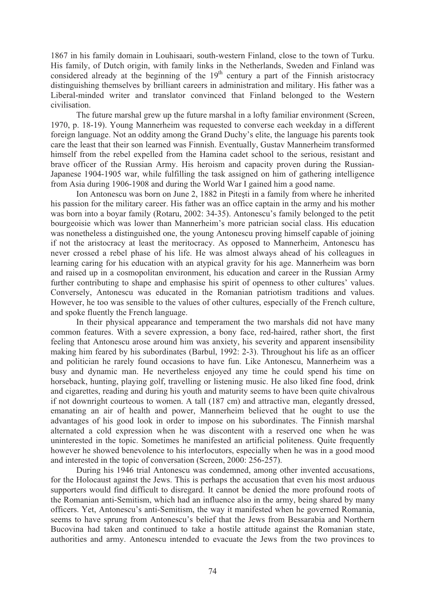1867 in his family domain in Louhisaari, south-western Finland, close to the town of Turku. His family, of Dutch origin, with family links in the Netherlands, Sweden and Finland was considered already at the beginning of the  $19<sup>th</sup>$  century a part of the Finnish aristocracy distinguishing themselves by brilliant careers in administration and military. His father was a Liberal-minded writer and translator convinced that Finland belonged to the Western civilisation.

The future marshal grew up the future marshal in a lofty familiar environment (Screen, 1970, p. 18-19). Young Mannerheim was requested to converse each weekday in a different foreign language. Not an oddity among the Grand Duchy's elite, the language his parents took care the least that their son learned was Finnish. Eventually, Gustav Mannerheim transformed himself from the rebel expelled from the Hamina cadet school to the serious, resistant and brave officer of the Russian Army. His heroism and capacity proven during the Russian-Japanese 1904-1905 war, while fulfilling the task assigned on him of gathering intelligence from Asia during 1906-1908 and during the World War I gained him a good name.

Ion Antonescu was born on June 2, 1882 in Pitesti in a family from where he inherited his passion for the military career. His father was an office captain in the army and his mother was born into a boyar family (Rotaru, 2002: 34-35). Antonescu's family belonged to the petit bourgeoisie which was lower than Mannerheim's more patrician social class. His education was nonetheless a distinguished one, the young Antonescu proving himself capable of joining if not the aristocracy at least the meritocracy. As opposed to Mannerheim, Antonescu has never crossed a rebel phase of his life. He was almost always ahead of his colleagues in learning caring for his education with an atypical gravity for his age. Mannerheim was born and raised up in a cosmopolitan environment, his education and career in the Russian Army further contributing to shape and emphasise his spirit of openness to other cultures' values. Conversely, Antonescu was educated in the Romanian patriotism traditions and values. However, he too was sensible to the values of other cultures, especially of the French culture, and spoke fluently the French language.

In their physical appearance and temperament the two marshals did not have many common features. With a severe expression, a bony face, red-haired, rather short, the first feeling that Antonescu arose around him was anxiety, his severity and apparent insensibility making him feared by his subordinates (Barbul, 1992: 2-3). Throughout his life as an officer and politician he rarely found occasions to have fun. Like Antonescu, Mannerheim was a busy and dynamic man. He nevertheless enjoyed any time he could spend his time on horseback, hunting, playing golf, travelling or listening music. He also liked fine food, drink and cigarettes, reading and during his youth and maturity seems to have been quite chivalrous if not downright courteous to women. A tall (187 cm) and attractive man, elegantly dressed, emanating an air of health and power, Mannerheim believed that he ought to use the advantages of his good look in order to impose on his subordinates. The Finnish marshal alternated a cold expression when he was discontent with a reserved one when he was uninterested in the topic. Sometimes he manifested an artificial politeness. Quite frequently however he showed benevolence to his interlocutors, especially when he was in a good mood and interested in the topic of conversation (Screen, 2000: 256-257).

During his 1946 trial Antonescu was condemned, among other invented accusations, for the Holocaust against the Jews. This is perhaps the accusation that even his most arduous supporters would find difficult to disregard. It cannot be denied the more profound roots of the Romanian anti-Semitism, which had an influence also in the army, being shared by many officers. Yet, Antonescu's anti-Semitism, the way it manifested when he governed Romania, seems to have sprung from Antonescu's belief that the Jews from Bessarabia and Northern Bucovina had taken and continued to take a hostile attitude against the Romanian state, authorities and army. Antonescu intended to evacuate the Jews from the two provinces to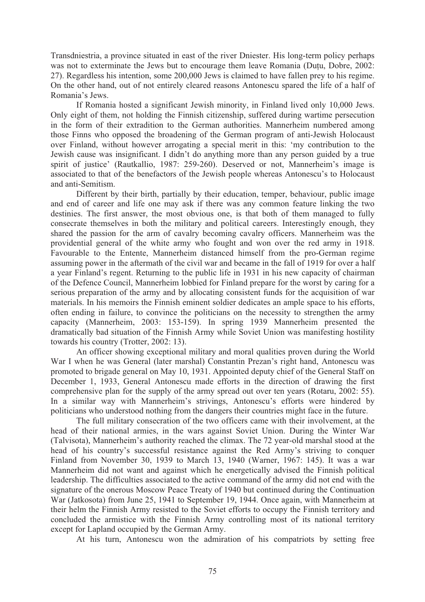Transdniestria, a province situated in east of the river Dniester. His long-term policy perhaps was not to exterminate the Jews but to encourage them leave Romania (Dutu, Dobre, 2002: 27). Regardless his intention, some 200,000 Jews is claimed to have fallen prey to his regime. On the other hand, out of not entirely cleared reasons Antonescu spared the life of a half of Romania's Jews.

If Romania hosted a significant Jewish minority, in Finland lived only 10,000 Jews. Only eight of them, not holding the Finnish citizenship, suffered during wartime persecution in the form of their extradition to the German authorities. Mannerheim numbered among those Finns who opposed the broadening of the German program of anti-Jewish Holocaust over Finland, without however arrogating a special merit in this: 'my contribution to the Jewish cause was insignificant. I didn't do anything more than any person guided by a true spirit of justice' (Rautkallio, 1987: 259-260). Deserved or not, Mannerheim's image is associated to that of the benefactors of the Jewish people whereas Antonescu's to Holocaust and anti-Semitism.

Different by their birth, partially by their education, temper, behaviour, public image and end of career and life one may ask if there was any common feature linking the two destinies. The first answer, the most obvious one, is that both of them managed to fully consecrate themselves in both the military and political careers. Interestingly enough, they shared the passion for the arm of cavalry becoming cavalry officers. Mannerheim was the providential general of the white army who fought and won over the red army in 1918. Favourable to the Entente, Mannerheim distanced himself from the pro-German regime assuming power in the aftermath of the civil war and became in the fall of 1919 for over a half a year Finland's regent. Returning to the public life in 1931 in his new capacity of chairman of the Defence Council, Mannerheim lobbied for Finland prepare for the worst by caring for a serious preparation of the army and by allocating consistent funds for the acquisition of war materials. In his memoirs the Finnish eminent soldier dedicates an ample space to his efforts, often ending in failure, to convince the politicians on the necessity to strengthen the army capacity (Mannerheim, 2003: 153-159). In spring 1939 Mannerheim presented the dramatically bad situation of the Finnish Army while Soviet Union was manifesting hostility towards his country (Trotter, 2002: 13).

An officer showing exceptional military and moral qualities proven during the World War I when he was General (later marshal) Constantin Prezan's right hand, Antonescu was promoted to brigade general on May 10, 1931. Appointed deputy chief of the General Staff on December 1, 1933, General Antonescu made efforts in the direction of drawing the first comprehensive plan for the supply of the army spread out over ten years (Rotaru, 2002: 55). In a similar way with Mannerheim's strivings, Antonescu's efforts were hindered by politicians who understood nothing from the dangers their countries might face in the future.

The full military consecration of the two officers came with their involvement, at the head of their national armies, in the wars against Soviet Union. During the Winter War (Talvisota), Mannerheim's authority reached the climax. The 72 year-old marshal stood at the head of his country's successful resistance against the Red Army's striving to conquer Finland from November 30, 1939 to March 13, 1940 (Warner, 1967: 145). It was a war Mannerheim did not want and against which he energetically advised the Finnish political leadership. The difficulties associated to the active command of the army did not end with the signature of the onerous Moscow Peace Treaty of 1940 but continued during the Continuation War (Jatkosota) from June 25, 1941 to September 19, 1944. Once again, with Mannerheim at their helm the Finnish Army resisted to the Soviet efforts to occupy the Finnish territory and concluded the armistice with the Finnish Army controlling most of its national territory except for Lapland occupied by the German Army.

At his turn, Antonescu won the admiration of his compatriots by setting free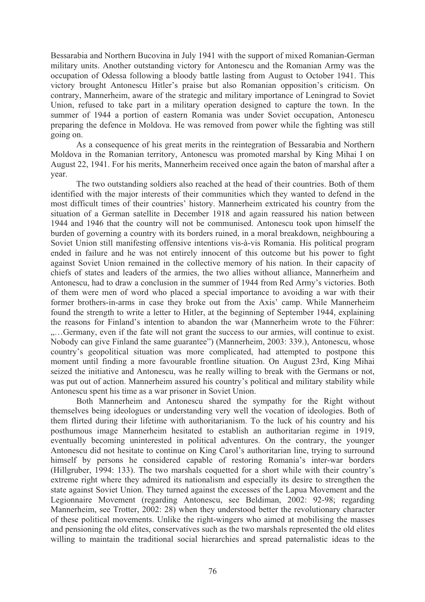Bessarabia and Northern Bucovina in July 1941 with the support of mixed Romanian-German military units. Another outstanding victory for Antonescu and the Romanian Army was the occupation of Odessa following a bloody battle lasting from August to October 1941. This victory brought Antonescu Hitler's praise but also Romanian opposition's criticism. On contrary, Mannerheim, aware of the strategic and military importance of Leningrad to Soviet Union, refused to take part in a military operation designed to capture the town. In the summer of 1944 a portion of eastern Romania was under Soviet occupation, Antonescu preparing the defence in Moldova. He was removed from power while the fighting was still going on.

As a consequence of his great merits in the reintegration of Bessarabia and Northern Moldova in the Romanian territory, Antonescu was promoted marshal by King Mihai I on August 22, 1941. For his merits, Mannerheim received once again the baton of marshal after a year.

The two outstanding soldiers also reached at the head of their countries. Both of them identified with the major interests of their communities which they wanted to defend in the most difficult times of their countries' history. Mannerheim extricated his country from the situation of a German satellite in December 1918 and again reassured his nation between 1944 and 1946 that the country will not be communised. Antonescu took upon himself the burden of governing a country with its borders ruined, in a moral breakdown, neighbouring a Soviet Union still manifesting offensive intentions vis-à-vis Romania. His political program ended in failure and he was not entirely innocent of this outcome but his power to fight against Soviet Union remained in the collective memory of his nation. In their capacity of chiefs of states and leaders of the armies, the two allies without alliance, Mannerheim and Antonescu, had to draw a conclusion in the summer of 1944 from Red Army's victories. Both of them were men of word who placed a special importance to avoiding a war with their former brothers-in-arms in case they broke out from the Axis' camp. While Mannerheim found the strength to write a letter to Hitler, at the beginning of September 1944, explaining the reasons for Finland's intention to abandon the war (Mannerheim wrote to the Führer: ....Germany, even if the fate will not grant the success to our armies, will continue to exist. Nobody can give Finland the same guarantee") (Mannerheim, 2003: 339.), Antonescu, whose country's geopolitical situation was more complicated, had attempted to postpone this moment until finding a more favourable frontline situation. On August 23rd, King Mihai seized the initiative and Antonescu, was he really willing to break with the Germans or not, was put out of action. Mannerheim assured his country's political and military stability while Antonescu spent his time as a war prisoner in Soviet Union.

Both Mannerheim and Antonescu shared the sympathy for the Right without themselves being ideologues or understanding very well the vocation of ideologies. Both of them flirted during their lifetime with authoritarianism. To the luck of his country and his posthumous image Mannerheim hesitated to establish an authoritarian regime in 1919, eventually becoming uninterested in political adventures. On the contrary, the younger Antonescu did not hesitate to continue on King Carol's authoritarian line, trying to surround himself by persons he considered capable of restoring Romania's inter-war borders (Hillgruber, 1994: 133). The two marshals coquetted for a short while with their country's extreme right where they admired its nationalism and especially its desire to strengthen the state against Soviet Union. They turned against the excesses of the Lapua Movement and the Legionnaire Movement (regarding Antonescu, see Beldiman, 2002: 92-98; regarding Mannerheim, see Trotter, 2002: 28) when they understood better the revolutionary character of these political movements. Unlike the right-wingers who aimed at mobilising the masses and pensioning the old elites, conservatives such as the two marshals represented the old elites willing to maintain the traditional social hierarchies and spread paternalistic ideas to the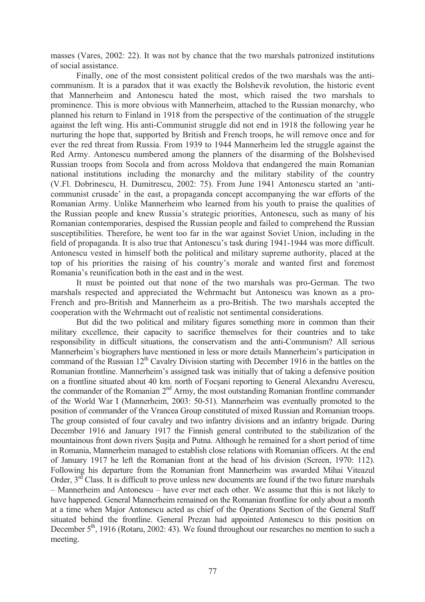masses (Vares, 2002: 22). It was not by chance that the two marshals patronized institutions of social assistance.

Finally, one of the most consistent political credos of the two marshals was the anticommunism. It is a paradox that it was exactly the Bolshevik revolution, the historic event that Mannerheim and Antonescu hated the most, which raised the two marshals to prominence. This is more obvious with Mannerheim, attached to the Russian monarchy, who planned his return to Finland in 1918 from the perspective of the continuation of the struggle against the left wing. His anti-Communist struggle did not end in 1918 the following year he nurturing the hope that, supported by British and French troops, he will remove once and for ever the red threat from Russia. From 1939 to 1944 Mannerheim led the struggle against the Red Army. Antonescu numbered among the planners of the disarming of the Bolshevised Russian troops from Socola and from across Moldova that endangered the main Romanian national institutions including the monarchy and the military stability of the country (V.Fl. Dobrinescu, H. Dumitrescu, 2002: 75). From June 1941 Antonescu started an 'anticommunist crusade' in the east, a propaganda concept accompanying the war efforts of the Romanian Army. Unlike Mannerheim who learned from his youth to praise the qualities of the Russian people and knew Russia's strategic priorities, Antonescu, such as many of his Romanian contemporaries, despised the Russian people and failed to comprehend the Russian susceptibilities. Therefore, he went too far in the war against Soviet Union, including in the field of propaganda. It is also true that Antonescu's task during 1941-1944 was more difficult. Antonescu vested in himself both the political and military supreme authority, placed at the top of his priorities the raising of his country's morale and wanted first and foremost Romania's reunification both in the east and in the west.

It must be pointed out that none of the two marshals was pro-German. The two marshals respected and appreciated the Wehrmacht but Antonescu was known as a pro-French and pro-British and Mannerheim as a pro-British. The two marshals accepted the cooperation with the Wehrmacht out of realistic not sentimental considerations.

But did the two political and military figures something more in common than their military excellence, their capacity to sacrifice themselves for their countries and to take responsibility in difficult situations, the conservatism and the anti-Communism? All serious Mannerheim's biographers have mentioned in less or more details Mannerheim's participation in command of the Russian  $12<sup>th</sup>$  Cavalry Division starting with December 1916 in the battles on the Romanian frontline. Mannerheim's assigned task was initially that of taking a defensive position on a frontline situated about 40 km, north of Focsani reporting to General Alexandru Averescu, the commander of the Romanian  $2<sup>nd</sup>$  Army, the most outstanding Romanian frontline commander of the World War I (Mannerheim, 2003: 50-51). Mannerheim was eventually promoted to the position of commander of the Vrancea Group constituted of mixed Russian and Romanian troops. The group consisted of four cavalry and two infantry divisions and an infantry brigade. During December 1916 and January 1917 the Finnish general contributed to the stabilization of the mountainous front down rivers Susita and Putna. Although he remained for a short period of time in Romania, Mannerheim managed to establish close relations with Romanian officers. At the end of January 1917 he left the Romanian front at the head of his division (Screen, 1970: 112). Following his departure from the Romanian front Mannerheim was awarded Mihai Viteazul Order,  $3<sup>rd</sup>$  Class. It is difficult to prove unless new documents are found if the two future marshals – Mannerheim and Antonescu – have ever met each other. We assume that this is not likely to have happened. General Mannerheim remained on the Romanian frontline for only about a month at a time when Major Antonescu acted as chief of the Operations Section of the General Staff situated behind the frontline. General Prezan had appointed Antonescu to this position on December  $5<sup>th</sup>$ , 1916 (Rotaru, 2002: 43). We found throughout our researches no mention to such a meeting.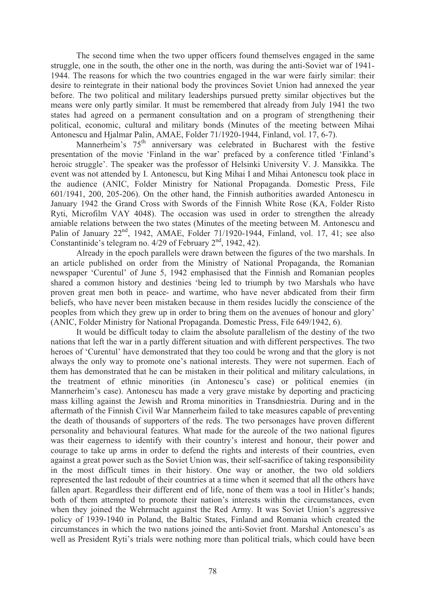The second time when the two upper officers found themselves engaged in the same struggle, one in the south, the other one in the north, was during the anti-Soviet war of 1941- 1944. The reasons for which the two countries engaged in the war were fairly similar: their desire to reintegrate in their national body the provinces Soviet Union had annexed the year before. The two political and military leaderships pursued pretty similar objectives but the means were only partly similar. It must be remembered that already from July 1941 the two states had agreed on a permanent consultation and on a program of strengthening their political, economic, cultural and military bonds (Minutes of the meeting between Mihai Antonescu and Hjalmar Palin, AMAE, Folder 71/1920-1944, Finland, vol. 17, 6-7).

Mannerheim's  $75<sup>th</sup>$  anniversary was celebrated in Bucharest with the festive presentation of the movie 'Finland in the war' prefaced by a conference titled 'Finland's heroic struggle'. The speaker was the professor of Helsinki University V. J. Mansikka. The event was not attended by I. Antonescu, but King Mihai I and Mihai Antonescu took place in the audience (ANIC, Folder Ministry for National Propaganda. Domestic Press, File 601/1941, 200, 205-206). On the other hand, the Finnish authorities awarded Antonescu in January 1942 the Grand Cross with Swords of the Finnish White Rose (KA, Folder Risto Ryti, Microfilm VAY 4048). The occasion was used in order to strengthen the already amiable relations between the two states (Minutes of the meeting between M. Antonescu and Palin of January  $22^{nd}$ , 1942, AMAE, Folder 71/1920-1944, Finland, vol. 17, 41; see also Constantinide's telegram no.  $4/29$  of February  $2<sup>nd</sup>$ , 1942, 42).

Already in the epoch parallels were drawn between the figures of the two marshals. In an article published on order from the Ministry of National Propaganda, the Romanian newspaper 'Curentul' of June 5, 1942 emphasised that the Finnish and Romanian peoples shared a common history and destinies 'being led to triumph by two Marshals who have proven great men both in peace- and wartime, who have never abdicated from their firm beliefs, who have never been mistaken because in them resides lucidly the conscience of the peoples from which they grew up in order to bring them on the avenues of honour and glory' (ANIC, Folder Ministry for National Propaganda. Domestic Press, File 649/1942, 6).

It would be difficult today to claim the absolute parallelism of the destiny of the two nations that left the war in a partly different situation and with different perspectives. The two heroes of 'Curentul' have demonstrated that they too could be wrong and that the glory is not always the only way to promote one's national interests. They were not supermen. Each of them has demonstrated that he can be mistaken in their political and military calculations, in the treatment of ethnic minorities (in Antonescu's case) or political enemies (in Mannerheim's case). Antonescu has made a very grave mistake by deporting and practicing mass killing against the Jewish and Rroma minorities in Transdniestria. During and in the aftermath of the Finnish Civil War Mannerheim failed to take measures capable of preventing the death of thousands of supporters of the reds. The two personages have proven different personality and behavioural features. What made for the aureole of the two national figures was their eagerness to identify with their country's interest and honour, their power and courage to take up arms in order to defend the rights and interests of their countries, even against a great power such as the Soviet Union was, their self-sacrifice of taking responsibility in the most difficult times in their history. One way or another, the two old soldiers represented the last redoubt of their countries at a time when it seemed that all the others have fallen apart. Regardless their different end of life, none of them was a tool in Hitler's hands; both of them attempted to promote their nation's interests within the circumstances, even when they joined the Wehrmacht against the Red Army. It was Soviet Union's aggressive policy of 1939-1940 in Poland, the Baltic States, Finland and Romania which created the circumstances in which the two nations joined the anti-Soviet front. Marshal Antonescu's as well as President Ryti's trials were nothing more than political trials, which could have been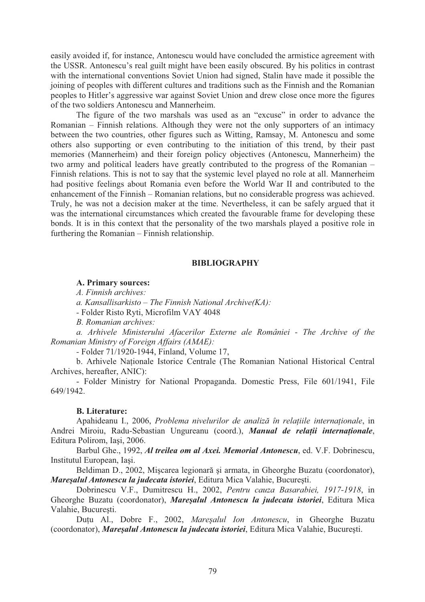easily avoided if, for instance, Antonescu would have concluded the armistice agreement with the USSR. Antonescu's real guilt might have been easily obscured. By his politics in contrast with the international conventions Soviet Union had signed, Stalin have made it possible the joining of peoples with different cultures and traditions such as the Finnish and the Romanian peoples to Hitler's aggressive war against Soviet Union and drew close once more the figures of the two soldiers Antonescu and Mannerheim.

The figure of the two marshals was used as an "excuse" in order to advance the Romanian – Finnish relations. Although they were not the only supporters of an intimacy between the two countries, other figures such as Witting, Ramsay, M. Antonescu and some others also supporting or even contributing to the initiation of this trend, by their past memories (Mannerheim) and their foreign policy objectives (Antonescu, Mannerheim) the two army and political leaders have greatly contributed to the progress of the Romanian – Finnish relations. This is not to say that the systemic level played no role at all. Mannerheim had positive feelings about Romania even before the World War II and contributed to the enhancement of the Finnish – Romanian relations, but no considerable progress was achieved. Truly, he was not a decision maker at the time. Nevertheless, it can be safely argued that it was the international circumstances which created the favourable frame for developing these bonds. It is in this context that the personality of the two marshals played a positive role in furthering the Romanian – Finnish relationship.

## **BIBLIOGRAPHY**

**A. Primary sources:** 

*A. Finnish archives:* 

*a. Kansallisarkisto – The Finnish National Archive(KA):* 

*-* Folder Risto Ryti, Microfilm VAY 4048

*B. Romanian archives:* 

*a. Arhivele Ministerului Afacerilor Externe ale României - The Archive of the Romanian Ministry of Foreign Affairs (AMAE):* 

*-* Folder 71/1920-1944, Finland, Volume 17,

b. Arhivele Nationale Istorice Centrale (The Romanian National Historical Central Archives, hereafter, ANIC):

- Folder Ministry for National Propaganda. Domestic Press, File 601/1941, File 649/1942.

## **B. Literature:**

Apahideanu I., 2006, *Problema nivelurilor de analiz în rela!iile interna!ionale*, in Andrei Miroiu, Radu-Sebastian Ungureanu (coord.), *Manual de relatii internationale*, Editura Polirom, Iași, 2006.

Barbul Ghe., 1992, *Al treilea om al Axei. Memorial Antonescu*, ed. V.F. Dobrinescu, Institutul European, Iasi.

Beldiman D., 2002, Mișcarea legionară și armata, in Gheorghe Buzatu (coordonator), *Mare*șalul Antonescu la judecata istoriei, Editura Mica Valahie, București.

Dobrinescu V.F., Dumitrescu H., 2002, *Pentru cauza Basarabiei, 1917-1918*, in Gheorghe Buzatu (coordonator), *Maresalul Antonescu la judecata istoriei*, Editura Mica Valahie, Bucuresti.

Duțu Al., Dobre F., 2002, Mareșalul Ion Antonescu, in Gheorghe Buzatu (coordonator), *Mareșalul Antonescu la judecata istoriei*, Editura Mica Valahie, București.